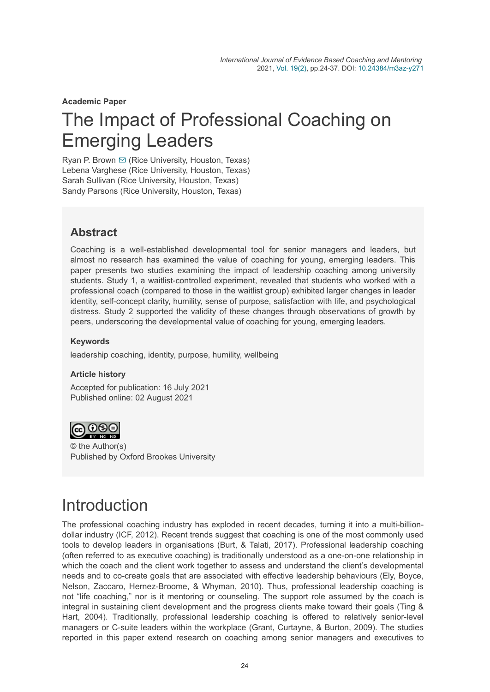**Academic Paper**

# The Impact of Professional Coaching on Emerging Leaders

Ryan P. Brown  $\Xi$  (Rice University, Houston, Texas) Lebena Varghese (Rice University, Houston, Texas) Sarah Sullivan (Rice University, Houston, Texas) Sandy Parsons (Rice University, Houston, Texas)

## **Abstract**

Coaching is a well-established developmental tool for senior managers and leaders, but almost no research has examined the value of coaching for young, emerging leaders. This paper presents two studies examining the impact of leadership coaching among university students. Study 1, a waitlist-controlled experiment, revealed that students who worked with a professional coach (compared to those in the waitlist group) exhibited larger changes in leader identity, self-concept clarity, humility, sense of purpose, satisfaction with life, and psychological distress. Study 2 supported the validity of these changes through observations of growth by peers, underscoring the developmental value of coaching for young, emerging leaders.

### **Keywords**

leadership coaching, identity, purpose, humility, wellbeing

#### **Article history**

Accepted for publication: 16 July 2021 Published online: 02 August 2021



© the Author(s) Published by Oxford Brookes University

# Introduction

The professional coaching industry has exploded in recent decades, turning it into a multi-billiondollar industry (ICF, 2012). Recent trends suggest that coaching is one of the most commonly used tools to develop leaders in organisations (Burt, & Talati, 2017). Professional leadership coaching (often referred to as executive coaching) is traditionally understood as a one-on-one relationship in which the coach and the client work together to assess and understand the client's developmental needs and to co-create goals that are associated with effective leadership behaviours (Ely, Boyce, Nelson, Zaccaro, Hernez-Broome, & Whyman, 2010). Thus, professional leadership coaching is not "life coaching," nor is it mentoring or counseling. The support role assumed by the coach is integral in sustaining client development and the progress clients make toward their goals (Ting & Hart, 2004). Traditionally, professional leadership coaching is offered to relatively senior-level managers or C-suite leaders within the workplace (Grant, Curtayne, & Burton, 2009). The studies reported in this paper extend research on coaching among senior managers and executives to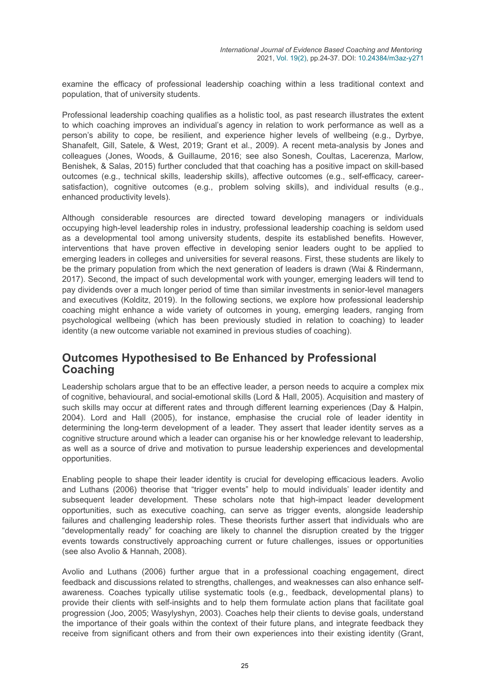examine the efficacy of professional leadership coaching within a less traditional context and population, that of university students.

Professional leadership coaching qualifies as a holistic tool, as past research illustrates the extent to which coaching improves an individual's agency in relation to work performance as well as a person's ability to cope, be resilient, and experience higher levels of wellbeing (e.g., Dyrbye, Shanafelt, Gill, Satele, & West, 2019; Grant et al., 2009). A recent meta-analysis by Jones and colleagues (Jones, Woods, & Guillaume, 2016; see also Sonesh, Coultas, Lacerenza, Marlow, Benishek, & Salas, 2015) further concluded that that coaching has a positive impact on skill-based outcomes (e.g., technical skills, leadership skills), affective outcomes (e.g., self-efficacy, careersatisfaction), cognitive outcomes (e.g., problem solving skills), and individual results (e.g., enhanced productivity levels).

Although considerable resources are directed toward developing managers or individuals occupying high-level leadership roles in industry, professional leadership coaching is seldom used as a developmental tool among university students, despite its established benefits. However, interventions that have proven effective in developing senior leaders ought to be applied to emerging leaders in colleges and universities for several reasons. First, these students are likely to be the primary population from which the next generation of leaders is drawn (Wai & Rindermann, 2017). Second, the impact of such developmental work with younger, emerging leaders will tend to pay dividends over a much longer period of time than similar investments in senior-level managers and executives (Kolditz, 2019). In the following sections, we explore how professional leadership coaching might enhance a wide variety of outcomes in young, emerging leaders, ranging from psychological wellbeing (which has been previously studied in relation to coaching) to leader identity (a new outcome variable not examined in previous studies of coaching).

### **Outcomes Hypothesised to Be Enhanced by Professional Coaching**

Leadership scholars argue that to be an effective leader, a person needs to acquire a complex mix of cognitive, behavioural, and social-emotional skills (Lord & Hall, 2005). Acquisition and mastery of such skills may occur at different rates and through different learning experiences (Day & Halpin, 2004). Lord and Hall (2005), for instance, emphasise the crucial role of leader identity in determining the long-term development of a leader. They assert that leader identity serves as a cognitive structure around which a leader can organise his or her knowledge relevant to leadership, as well as a source of drive and motivation to pursue leadership experiences and developmental opportunities.

Enabling people to shape their leader identity is crucial for developing efficacious leaders. Avolio and Luthans (2006) theorise that "trigger events" help to mould individuals' leader identity and subsequent leader development. These scholars note that high-impact leader development opportunities, such as executive coaching, can serve as trigger events, alongside leadership failures and challenging leadership roles. These theorists further assert that individuals who are "developmentally ready" for coaching are likely to channel the disruption created by the trigger events towards constructively approaching current or future challenges, issues or opportunities (see also Avolio & Hannah, 2008).

Avolio and Luthans (2006) further argue that in a professional coaching engagement, direct feedback and discussions related to strengths, challenges, and weaknesses can also enhance selfawareness. Coaches typically utilise systematic tools (e.g., feedback, developmental plans) to provide their clients with self-insights and to help them formulate action plans that facilitate goal progression (Joo, 2005; Wasylyshyn, 2003). Coaches help their clients to devise goals, understand the importance of their goals within the context of their future plans, and integrate feedback they receive from significant others and from their own experiences into their existing identity (Grant,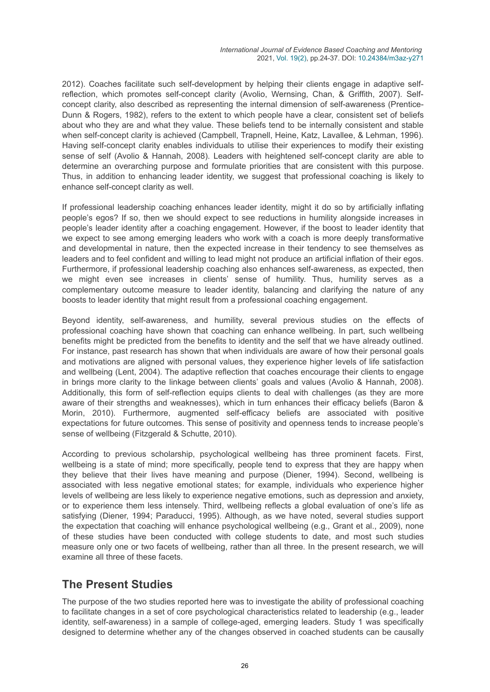2012). Coaches facilitate such self-development by helping their clients engage in adaptive selfreflection, which promotes self-concept clarity (Avolio, Wernsing, Chan, & Griffith, 2007). Selfconcept clarity, also described as representing the internal dimension of self-awareness (Prentice-Dunn & Rogers, 1982), refers to the extent to which people have a clear, consistent set of beliefs about who they are and what they value. These beliefs tend to be internally consistent and stable when self-concept clarity is achieved (Campbell, Trapnell, Heine, Katz, Lavallee, & Lehman, 1996). Having self-concept clarity enables individuals to utilise their experiences to modify their existing sense of self (Avolio & Hannah, 2008). Leaders with heightened self-concept clarity are able to determine an overarching purpose and formulate priorities that are consistent with this purpose. Thus, in addition to enhancing leader identity, we suggest that professional coaching is likely to enhance self-concept clarity as well.

If professional leadership coaching enhances leader identity, might it do so by artificially inflating people's egos? If so, then we should expect to see reductions in humility alongside increases in people's leader identity after a coaching engagement. However, if the boost to leader identity that we expect to see among emerging leaders who work with a coach is more deeply transformative and developmental in nature, then the expected increase in their tendency to see themselves as leaders and to feel confident and willing to lead might not produce an artificial inflation of their egos. Furthermore, if professional leadership coaching also enhances self-awareness, as expected, then we might even see increases in clients' sense of humility. Thus, humility serves as a complementary outcome measure to leader identity, balancing and clarifying the nature of any boosts to leader identity that might result from a professional coaching engagement.

Beyond identity, self-awareness, and humility, several previous studies on the effects of professional coaching have shown that coaching can enhance wellbeing. In part, such wellbeing benefits might be predicted from the benefits to identity and the self that we have already outlined. For instance, past research has shown that when individuals are aware of how their personal goals and motivations are aligned with personal values, they experience higher levels of life satisfaction and wellbeing (Lent, 2004). The adaptive reflection that coaches encourage their clients to engage in brings more clarity to the linkage between clients' goals and values (Avolio & Hannah, 2008). Additionally, this form of self-reflection equips clients to deal with challenges (as they are more aware of their strengths and weaknesses), which in turn enhances their efficacy beliefs (Baron & Morin, 2010). Furthermore, augmented self-efficacy beliefs are associated with positive expectations for future outcomes. This sense of positivity and openness tends to increase people's sense of wellbeing (Fitzgerald & Schutte, 2010).

According to previous scholarship, psychological wellbeing has three prominent facets. First, wellbeing is a state of mind; more specifically, people tend to express that they are happy when they believe that their lives have meaning and purpose (Diener, 1994). Second, wellbeing is associated with less negative emotional states; for example, individuals who experience higher levels of wellbeing are less likely to experience negative emotions, such as depression and anxiety, or to experience them less intensely. Third, wellbeing reflects a global evaluation of one's life as satisfying (Diener, 1994; Paraducci, 1995). Although, as we have noted, several studies support the expectation that coaching will enhance psychological wellbeing (e.g., Grant et al., 2009), none of these studies have been conducted with college students to date, and most such studies measure only one or two facets of wellbeing, rather than all three. In the present research, we will examine all three of these facets.

### **The Present Studies**

The purpose of the two studies reported here was to investigate the ability of professional coaching to facilitate changes in a set of core psychological characteristics related to leadership (e.g., leader identity, self-awareness) in a sample of college-aged, emerging leaders. Study 1 was specifically designed to determine whether any of the changes observed in coached students can be causally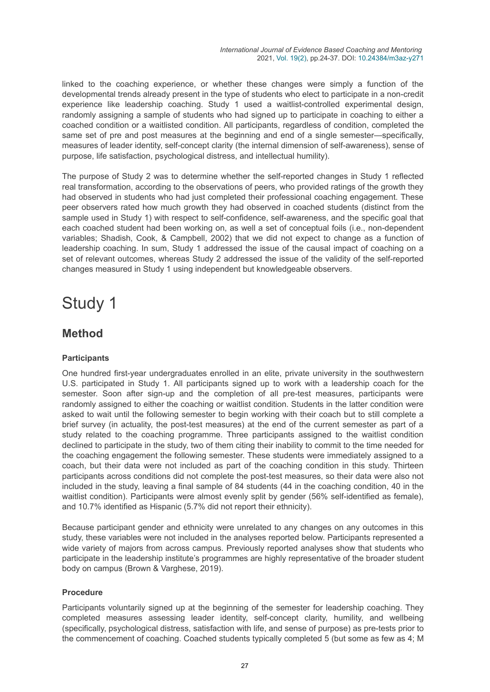linked to the coaching experience, or whether these changes were simply a function of the developmental trends already present in the type of students who elect to participate in a non-credit experience like leadership coaching. Study 1 used a waitlist-controlled experimental design, randomly assigning a sample of students who had signed up to participate in coaching to either a coached condition or a waitlisted condition. All participants, regardless of condition, completed the same set of pre and post measures at the beginning and end of a single semester—specifically, measures of leader identity, self-concept clarity (the internal dimension of self-awareness), sense of purpose, life satisfaction, psychological distress, and intellectual humility).

The purpose of Study 2 was to determine whether the self-reported changes in Study 1 reflected real transformation, according to the observations of peers, who provided ratings of the growth they had observed in students who had just completed their professional coaching engagement. These peer observers rated how much growth they had observed in coached students (distinct from the sample used in Study 1) with respect to self-confidence, self-awareness, and the specific goal that each coached student had been working on, as well a set of conceptual foils (i.e., non-dependent variables; Shadish, Cook, & Campbell, 2002) that we did not expect to change as a function of leadership coaching. In sum, Study 1 addressed the issue of the causal impact of coaching on a set of relevant outcomes, whereas Study 2 addressed the issue of the validity of the self-reported changes measured in Study 1 using independent but knowledgeable observers.

## Study 1

## **Method**

### **Participants**

One hundred first-year undergraduates enrolled in an elite, private university in the southwestern U.S. participated in Study 1. All participants signed up to work with a leadership coach for the semester. Soon after sign-up and the completion of all pre-test measures, participants were randomly assigned to either the coaching or waitlist condition. Students in the latter condition were asked to wait until the following semester to begin working with their coach but to still complete a brief survey (in actuality, the post-test measures) at the end of the current semester as part of a study related to the coaching programme. Three participants assigned to the waitlist condition declined to participate in the study, two of them citing their inability to commit to the time needed for the coaching engagement the following semester. These students were immediately assigned to a coach, but their data were not included as part of the coaching condition in this study. Thirteen participants across conditions did not complete the post-test measures, so their data were also not included in the study, leaving a final sample of 84 students (44 in the coaching condition, 40 in the waitlist condition). Participants were almost evenly split by gender (56% self-identified as female), and 10.7% identified as Hispanic (5.7% did not report their ethnicity).

Because participant gender and ethnicity were unrelated to any changes on any outcomes in this study, these variables were not included in the analyses reported below. Participants represented a wide variety of majors from across campus. Previously reported analyses show that students who participate in the leadership institute's programmes are highly representative of the broader student body on campus (Brown & Varghese, 2019).

#### **Procedure**

Participants voluntarily signed up at the beginning of the semester for leadership coaching. They completed measures assessing leader identity, self-concept clarity, humility, and wellbeing (specifically, psychological distress, satisfaction with life, and sense of purpose) as pre-tests prior to the commencement of coaching. Coached students typically completed 5 (but some as few as 4; M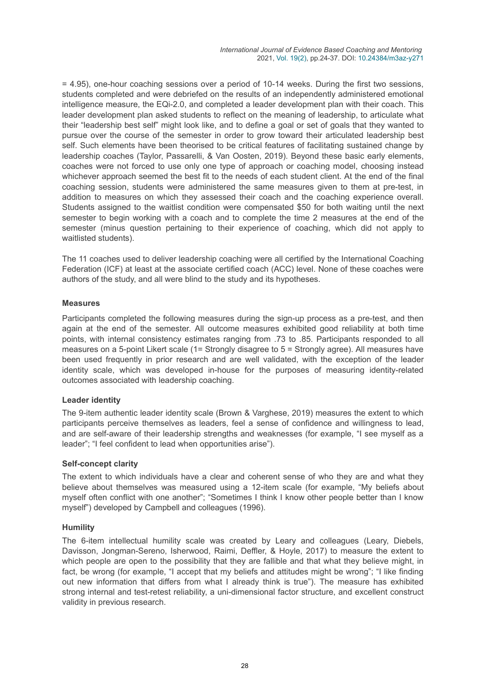= 4.95), one-hour coaching sessions over a period of 10-14 weeks. During the first two sessions, students completed and were debriefed on the results of an independently administered emotional intelligence measure, the EQi-2.0, and completed a leader development plan with their coach. This leader development plan asked students to reflect on the meaning of leadership, to articulate what their "leadership best self" might look like, and to define a goal or set of goals that they wanted to pursue over the course of the semester in order to grow toward their articulated leadership best self. Such elements have been theorised to be critical features of facilitating sustained change by leadership coaches (Taylor, Passarelli, & Van Oosten, 2019). Beyond these basic early elements, coaches were not forced to use only one type of approach or coaching model, choosing instead whichever approach seemed the best fit to the needs of each student client. At the end of the final coaching session, students were administered the same measures given to them at pre-test, in addition to measures on which they assessed their coach and the coaching experience overall. Students assigned to the waitlist condition were compensated \$50 for both waiting until the next semester to begin working with a coach and to complete the time 2 measures at the end of the semester (minus question pertaining to their experience of coaching, which did not apply to waitlisted students).

The 11 coaches used to deliver leadership coaching were all certified by the International Coaching Federation (ICF) at least at the associate certified coach (ACC) level. None of these coaches were authors of the study, and all were blind to the study and its hypotheses.

#### **Measures**

Participants completed the following measures during the sign-up process as a pre-test, and then again at the end of the semester. All outcome measures exhibited good reliability at both time points, with internal consistency estimates ranging from .73 to .85. Participants responded to all measures on a 5-point Likert scale (1= Strongly disagree to 5 = Strongly agree). All measures have been used frequently in prior research and are well validated, with the exception of the leader identity scale, which was developed in-house for the purposes of measuring identity-related outcomes associated with leadership coaching.

#### **Leader identity**

The 9-item authentic leader identity scale (Brown & Varghese, 2019) measures the extent to which participants perceive themselves as leaders, feel a sense of confidence and willingness to lead, and are self-aware of their leadership strengths and weaknesses (for example, "I see myself as a leader"; "I feel confident to lead when opportunities arise").

#### **Self-concept clarity**

The extent to which individuals have a clear and coherent sense of who they are and what they believe about themselves was measured using a 12-item scale (for example, "My beliefs about myself often conflict with one another"; "Sometimes I think I know other people better than I know myself") developed by Campbell and colleagues (1996).

#### **Humility**

The 6-item intellectual humility scale was created by Leary and colleagues (Leary, Diebels, Davisson, Jongman-Sereno, Isherwood, Raimi, Deffler, & Hoyle, 2017) to measure the extent to which people are open to the possibility that they are fallible and that what they believe might, in fact, be wrong (for example, "I accept that my beliefs and attitudes might be wrong"; "I like finding out new information that differs from what I already think is true"). The measure has exhibited strong internal and test-retest reliability, a uni-dimensional factor structure, and excellent construct validity in previous research.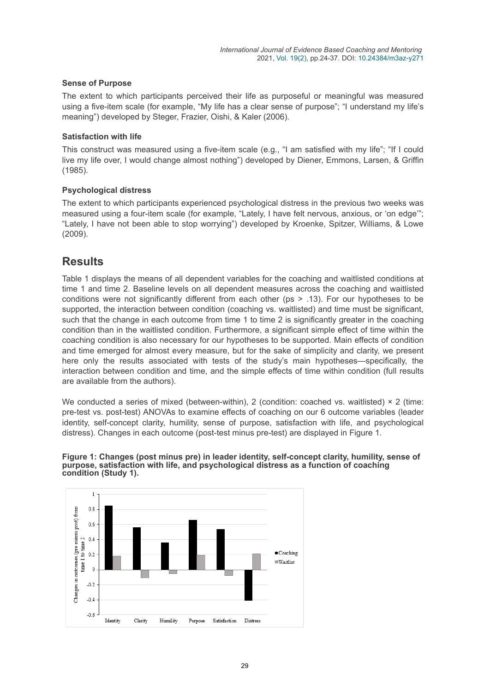#### **Sense of Purpose**

The extent to which participants perceived their life as purposeful or meaningful was measured using a five-item scale (for example, "My life has a clear sense of purpose"; "I understand my life's meaning") developed by Steger, Frazier, Oishi, & Kaler (2006).

#### **Satisfaction with life**

This construct was measured using a five-item scale (e.g., "I am satisfied with my life"; "If I could live my life over, I would change almost nothing") developed by Diener, Emmons, Larsen, & Griffin (1985).

#### **Psychological distress**

The extent to which participants experienced psychological distress in the previous two weeks was measured using a four-item scale (for example, "Lately, I have felt nervous, anxious, or 'on edge'"; "Lately, I have not been able to stop worrying") developed by Kroenke, Spitzer, Williams, & Lowe (2009).

### **Results**

Table 1 displays the means of all dependent variables for the coaching and waitlisted conditions at time 1 and time 2. Baseline levels on all dependent measures across the coaching and waitlisted conditions were not significantly different from each other (ps > .13). For our hypotheses to be supported, the interaction between condition (coaching vs. waitlisted) and time must be significant, such that the change in each outcome from time 1 to time 2 is significantly greater in the coaching condition than in the waitlisted condition. Furthermore, a significant simple effect of time within the coaching condition is also necessary for our hypotheses to be supported. Main effects of condition and time emerged for almost every measure, but for the sake of simplicity and clarity, we present here only the results associated with tests of the study's main hypotheses—specifically, the interaction between condition and time, and the simple effects of time within condition (full results are available from the authors).

We conducted a series of mixed (between-within), 2 (condition: coached vs. waitlisted)  $\times$  2 (time: pre-test vs. post-test) ANOVAs to examine effects of coaching on our 6 outcome variables (leader identity, self-concept clarity, humility, sense of purpose, satisfaction with life, and psychological distress). Changes in each outcome (post-test minus pre-test) are displayed in Figure 1.

**Figure 1: Changes (post minus pre) in leader identity, self-concept clarity, humility, sense of purpose, satisfaction with life, and psychological distress as a function of coaching condition (Study 1).**

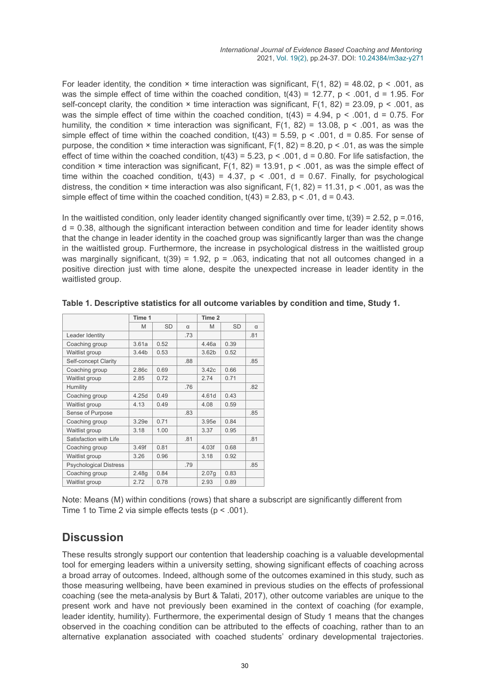For leader identity, the condition  $\times$  time interaction was significant, F(1, 82) = 48.02, p < .001, as was the simple effect of time within the coached condition,  $t(43) = 12.77$ ,  $p < .001$ ,  $d = 1.95$ . For self-concept clarity, the condition  $\times$  time interaction was significant,  $F(1, 82) = 23.09$ , p < .001, as was the simple effect of time within the coached condition,  $t(43) = 4.94$ ,  $p < .001$ ,  $d = 0.75$ . For humility, the condition  $\times$  time interaction was significant,  $F(1, 82) = 13.08$ , p < .001, as was the simple effect of time within the coached condition,  $t(43) = 5.59$ ,  $p < .001$ ,  $d = 0.85$ . For sense of purpose, the condition  $\times$  time interaction was significant,  $F(1, 82) = 8.20$ , p  $\lt$  .01, as was the simple effect of time within the coached condition,  $t(43) = 5.23$ ,  $p < .001$ ,  $d = 0.80$ . For life satisfaction, the condition  $\times$  time interaction was significant, F(1, 82) = 13.91, p < .001, as was the simple effect of time within the coached condition,  $t(43) = 4.37$ ,  $p < .001$ ,  $d = 0.67$ . Finally, for psychological distress, the condition  $\times$  time interaction was also significant,  $F(1, 82) = 11.31$ , p < .001, as was the simple effect of time within the coached condition,  $t(43) = 2.83$ ,  $p < .01$ ,  $d = 0.43$ .

In the waitlisted condition, only leader identity changed significantly over time,  $t(39) = 2.52$ , p = 0.016, d = 0.38, although the significant interaction between condition and time for leader identity shows that the change in leader identity in the coached group was significantly larger than was the change in the waitlisted group. Furthermore, the increase in psychological distress in the waitlisted group was marginally significant,  $t(39) = 1.92$ ,  $p = .063$ , indicating that not all outcomes changed in a positive direction just with time alone, despite the unexpected increase in leader identity in the waitlisted group.

|                               | Time 1 |           | Time 2   |                   |           |     |
|-------------------------------|--------|-----------|----------|-------------------|-----------|-----|
|                               | M      | <b>SD</b> | $\alpha$ | M                 | <b>SD</b> | α   |
| Leader Identity               |        |           | .73      |                   |           | .81 |
| Coaching group                | 3.61a  | 0.52      |          | 4.46a             | 0.39      |     |
| Waitlist group                | 3.44b  | 0.53      |          | 3.62 <sub>b</sub> | 0.52      |     |
| Self-concept Clarity          |        |           | .88      |                   |           | .85 |
| Coaching group                | 2.86c  | 0.69      |          | 3.42c             | 0.66      |     |
| Waitlist group                | 2.85   | 0.72      |          | 2.74              | 0.71      |     |
| Humility                      |        |           | .76      |                   |           | .82 |
| Coaching group                | 4.25d  | 0.49      |          | 4.61d             | 0.43      |     |
| Waitlist group                | 4.13   | 0.49      |          | 4.08              | 0.59      |     |
| Sense of Purpose              |        |           | .83      |                   |           | .85 |
| Coaching group                | 3.29e  | 0.71      |          | 3.95e             | 0.84      |     |
| Waitlist group                | 3.18   | 1.00      |          | 3.37              | 0.95      |     |
| Satisfaction with Life        |        |           | .81      |                   |           | .81 |
| Coaching group                | 3.49f  | 0.81      |          | 4.03f             | 0.68      |     |
| Waitlist group                | 3.26   | 0.96      |          | 3.18              | 0.92      |     |
| <b>Psychological Distress</b> |        |           | .79      |                   |           | .85 |
| Coaching group                | 2.48g  | 0.84      |          | 2.07g             | 0.83      |     |
| Waitlist group                | 2.72   | 0.78      |          | 2.93              | 0.89      |     |

**Table 1. Descriptive statistics for all outcome variables by condition and time, Study 1.**

Note: Means (M) within conditions (rows) that share a subscript are significantly different from Time 1 to Time 2 via simple effects tests ( $p < .001$ ).

## **Discussion**

These results strongly support our contention that leadership coaching is a valuable developmental tool for emerging leaders within a university setting, showing significant effects of coaching across a broad array of outcomes. Indeed, although some of the outcomes examined in this study, such as those measuring wellbeing, have been examined in previous studies on the effects of professional coaching (see the meta-analysis by Burt & Talati, 2017), other outcome variables are unique to the present work and have not previously been examined in the context of coaching (for example, leader identity, humility). Furthermore, the experimental design of Study 1 means that the changes observed in the coaching condition can be attributed to the effects of coaching, rather than to an alternative explanation associated with coached students' ordinary developmental trajectories.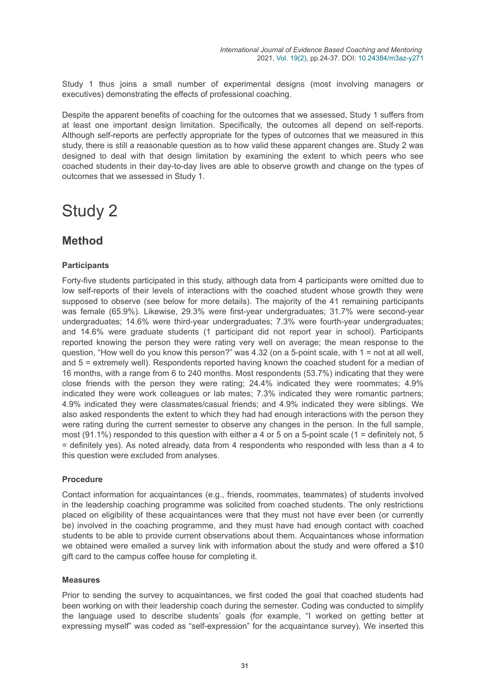Study 1 thus joins a small number of experimental designs (most involving managers or executives) demonstrating the effects of professional coaching.

Despite the apparent benefits of coaching for the outcomes that we assessed, Study 1 suffers from at least one important design limitation. Specifically, the outcomes all depend on self-reports. Although self-reports are perfectly appropriate for the types of outcomes that we measured in this study, there is still a reasonable question as to how valid these apparent changes are. Study 2 was designed to deal with that design limitation by examining the extent to which peers who see coached students in their day-to-day lives are able to observe growth and change on the types of outcomes that we assessed in Study 1.

## Study 2

## **Method**

#### **Participants**

Forty-five students participated in this study, although data from 4 participants were omitted due to low self-reports of their levels of interactions with the coached student whose growth they were supposed to observe (see below for more details). The majority of the 41 remaining participants was female (65.9%). Likewise, 29.3% were first-year undergraduates; 31.7% were second-year undergraduates; 14.6% were third-year undergraduates; 7.3% were fourth-year undergraduates; and 14.6% were graduate students (1 participant did not report year in school). Participants reported knowing the person they were rating very well on average; the mean response to the question, "How well do you know this person?" was 4.32 (on a 5-point scale, with 1 = not at all well, and 5 = extremely well). Respondents reported having known the coached student for a median of 16 months, with a range from 6 to 240 months. Most respondents (53.7%) indicating that they were close friends with the person they were rating; 24.4% indicated they were roommates; 4.9% indicated they were work colleagues or lab mates; 7.3% indicated they were romantic partners; 4.9% indicated they were classmates/casual friends; and 4.9% indicated they were siblings. We also asked respondents the extent to which they had had enough interactions with the person they were rating during the current semester to observe any changes in the person. In the full sample, most (91.1%) responded to this question with either a 4 or 5 on a 5-point scale (1 = definitely not, 5 = definitely yes). As noted already, data from 4 respondents who responded with less than a 4 to this question were excluded from analyses.

#### **Procedure**

Contact information for acquaintances (e.g., friends, roommates, teammates) of students involved in the leadership coaching programme was solicited from coached students. The only restrictions placed on eligibility of these acquaintances were that they must not have ever been (or currently be) involved in the coaching programme, and they must have had enough contact with coached students to be able to provide current observations about them. Acquaintances whose information we obtained were emailed a survey link with information about the study and were offered a \$10 gift card to the campus coffee house for completing it.

#### **Measures**

Prior to sending the survey to acquaintances, we first coded the goal that coached students had been working on with their leadership coach during the semester. Coding was conducted to simplify the language used to describe students' goals (for example, "I worked on getting better at expressing myself" was coded as "self-expression" for the acquaintance survey). We inserted this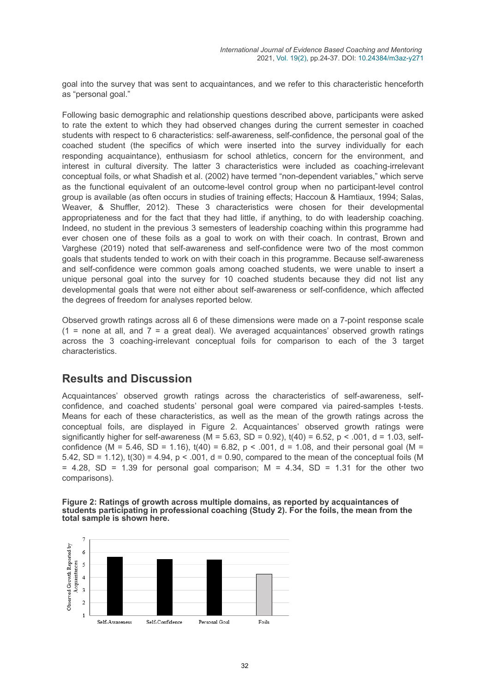goal into the survey that was sent to acquaintances, and we refer to this characteristic henceforth as "personal goal."

Following basic demographic and relationship questions described above, participants were asked to rate the extent to which they had observed changes during the current semester in coached students with respect to 6 characteristics: self-awareness, self-confidence, the personal goal of the coached student (the specifics of which were inserted into the survey individually for each responding acquaintance), enthusiasm for school athletics, concern for the environment, and interest in cultural diversity. The latter 3 characteristics were included as coaching-irrelevant conceptual foils, or what Shadish et al. (2002) have termed "non-dependent variables," which serve as the functional equivalent of an outcome-level control group when no participant-level control group is available (as often occurs in studies of training effects; Haccoun & Hamtiaux, 1994; Salas, Weaver, & Shuffler, 2012). These 3 characteristics were chosen for their developmental appropriateness and for the fact that they had little, if anything, to do with leadership coaching. Indeed, no student in the previous 3 semesters of leadership coaching within this programme had ever chosen one of these foils as a goal to work on with their coach. In contrast, Brown and Varghese (2019) noted that self-awareness and self-confidence were two of the most common goals that students tended to work on with their coach in this programme. Because self-awareness and self-confidence were common goals among coached students, we were unable to insert a unique personal goal into the survey for 10 coached students because they did not list any developmental goals that were not either about self-awareness or self-confidence, which affected the degrees of freedom for analyses reported below.

Observed growth ratings across all 6 of these dimensions were made on a 7-point response scale  $(1 =$  none at all, and  $7 =$  a great deal). We averaged acquaintances' observed growth ratings across the 3 coaching-irrelevant conceptual foils for comparison to each of the 3 target characteristics.

### **Results and Discussion**

Acquaintances' observed growth ratings across the characteristics of self-awareness, selfconfidence, and coached students' personal goal were compared via paired-samples t-tests. Means for each of these characteristics, as well as the mean of the growth ratings across the conceptual foils, are displayed in Figure 2. Acquaintances' observed growth ratings were significantly higher for self-awareness (M =  $5.63$ , SD =  $0.92$ ),  $t(40) = 6.52$ , p < .001, d =  $1.03$ , selfconfidence (M = 5.46, SD = 1.16),  $t(40) = 6.82$ , p < .001, d = 1.08, and their personal goal (M = 5.42, SD = 1.12),  $t(30) = 4.94$ ,  $p < .001$ ,  $d = 0.90$ , compared to the mean of the conceptual foils (M  $= 4.28$ , SD = 1.39 for personal goal comparison; M = 4.34, SD = 1.31 for the other two comparisons).

#### **Figure 2: Ratings of growth across multiple domains, as reported by acquaintances of students participating in professional coaching (Study 2). For the foils, the mean from the total sample is shown here.**

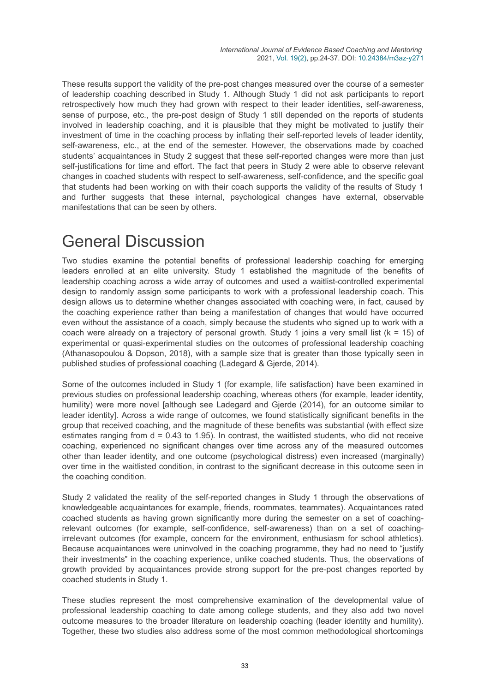These results support the validity of the pre-post changes measured over the course of a semester of leadership coaching described in Study 1. Although Study 1 did not ask participants to report retrospectively how much they had grown with respect to their leader identities, self-awareness, sense of purpose, etc., the pre-post design of Study 1 still depended on the reports of students involved in leadership coaching, and it is plausible that they might be motivated to justify their investment of time in the coaching process by inflating their self-reported levels of leader identity, self-awareness, etc., at the end of the semester. However, the observations made by coached students' acquaintances in Study 2 suggest that these self-reported changes were more than just self-justifications for time and effort. The fact that peers in Study 2 were able to observe relevant changes in coached students with respect to self-awareness, self-confidence, and the specific goal that students had been working on with their coach supports the validity of the results of Study 1 and further suggests that these internal, psychological changes have external, observable manifestations that can be seen by others.

# General Discussion

Two studies examine the potential benefits of professional leadership coaching for emerging leaders enrolled at an elite university. Study 1 established the magnitude of the benefits of leadership coaching across a wide array of outcomes and used a waitlist-controlled experimental design to randomly assign some participants to work with a professional leadership coach. This design allows us to determine whether changes associated with coaching were, in fact, caused by the coaching experience rather than being a manifestation of changes that would have occurred even without the assistance of a coach, simply because the students who signed up to work with a coach were already on a trajectory of personal growth. Study 1 joins a very small list ( $k = 15$ ) of experimental or quasi-experimental studies on the outcomes of professional leadership coaching (Athanasopoulou & Dopson, 2018), with a sample size that is greater than those typically seen in published studies of professional coaching (Ladegard & Gjerde, 2014).

Some of the outcomes included in Study 1 (for example, life satisfaction) have been examined in previous studies on professional leadership coaching, whereas others (for example, leader identity, humility) were more novel [although see Ladegard and Gjerde (2014), for an outcome similar to leader identity]. Across a wide range of outcomes, we found statistically significant benefits in the group that received coaching, and the magnitude of these benefits was substantial (with effect size estimates ranging from  $d = 0.43$  to 1.95). In contrast, the waitlisted students, who did not receive coaching, experienced no significant changes over time across any of the measured outcomes other than leader identity, and one outcome (psychological distress) even increased (marginally) over time in the waitlisted condition, in contrast to the significant decrease in this outcome seen in the coaching condition.

Study 2 validated the reality of the self-reported changes in Study 1 through the observations of knowledgeable acquaintances for example, friends, roommates, teammates). Acquaintances rated coached students as having grown significantly more during the semester on a set of coachingrelevant outcomes (for example, self-confidence, self-awareness) than on a set of coachingirrelevant outcomes (for example, concern for the environment, enthusiasm for school athletics). Because acquaintances were uninvolved in the coaching programme, they had no need to "justify their investments" in the coaching experience, unlike coached students. Thus, the observations of growth provided by acquaintances provide strong support for the pre-post changes reported by coached students in Study 1.

These studies represent the most comprehensive examination of the developmental value of professional leadership coaching to date among college students, and they also add two novel outcome measures to the broader literature on leadership coaching (leader identity and humility). Together, these two studies also address some of the most common methodological shortcomings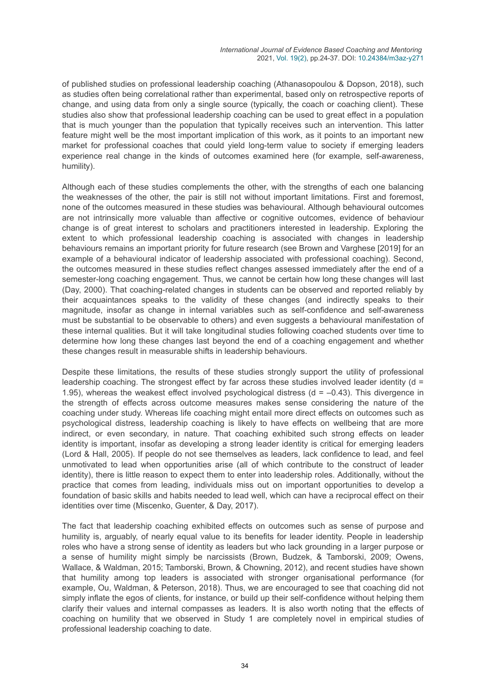of published studies on professional leadership coaching (Athanasopoulou & Dopson, 2018), such as studies often being correlational rather than experimental, based only on retrospective reports of change, and using data from only a single source (typically, the coach or coaching client). These studies also show that professional leadership coaching can be used to great effect in a population that is much younger than the population that typically receives such an intervention. This latter feature might well be the most important implication of this work, as it points to an important new market for professional coaches that could yield long-term value to society if emerging leaders experience real change in the kinds of outcomes examined here (for example, self-awareness, humility).

Although each of these studies complements the other, with the strengths of each one balancing the weaknesses of the other, the pair is still not without important limitations. First and foremost, none of the outcomes measured in these studies was behavioural. Although behavioural outcomes are not intrinsically more valuable than affective or cognitive outcomes, evidence of behaviour change is of great interest to scholars and practitioners interested in leadership. Exploring the extent to which professional leadership coaching is associated with changes in leadership behaviours remains an important priority for future research (see Brown and Varghese [2019] for an example of a behavioural indicator of leadership associated with professional coaching). Second, the outcomes measured in these studies reflect changes assessed immediately after the end of a semester-long coaching engagement. Thus, we cannot be certain how long these changes will last (Day, 2000). That coaching-related changes in students can be observed and reported reliably by their acquaintances speaks to the validity of these changes (and indirectly speaks to their magnitude, insofar as change in internal variables such as self-confidence and self-awareness must be substantial to be observable to others) and even suggests a behavioural manifestation of these internal qualities. But it will take longitudinal studies following coached students over time to determine how long these changes last beyond the end of a coaching engagement and whether these changes result in measurable shifts in leadership behaviours.

Despite these limitations, the results of these studies strongly support the utility of professional leadership coaching. The strongest effect by far across these studies involved leader identity ( $d =$ 1.95), whereas the weakest effect involved psychological distress ( $d = -0.43$ ). This divergence in the strength of effects across outcome measures makes sense considering the nature of the coaching under study. Whereas life coaching might entail more direct effects on outcomes such as psychological distress, leadership coaching is likely to have effects on wellbeing that are more indirect, or even secondary, in nature. That coaching exhibited such strong effects on leader identity is important, insofar as developing a strong leader identity is critical for emerging leaders (Lord & Hall, 2005). If people do not see themselves as leaders, lack confidence to lead, and feel unmotivated to lead when opportunities arise (all of which contribute to the construct of leader identity), there is little reason to expect them to enter into leadership roles. Additionally, without the practice that comes from leading, individuals miss out on important opportunities to develop a foundation of basic skills and habits needed to lead well, which can have a reciprocal effect on their identities over time (Miscenko, Guenter, & Day, 2017).

The fact that leadership coaching exhibited effects on outcomes such as sense of purpose and humility is, arguably, of nearly equal value to its benefits for leader identity. People in leadership roles who have a strong sense of identity as leaders but who lack grounding in a larger purpose or a sense of humility might simply be narcissists (Brown, Budzek, & Tamborski, 2009; Owens, Wallace, & Waldman, 2015; Tamborski, Brown, & Chowning, 2012), and recent studies have shown that humility among top leaders is associated with stronger organisational performance (for example, Ou, Waldman, & Peterson, 2018). Thus, we are encouraged to see that coaching did not simply inflate the egos of clients, for instance, or build up their self-confidence without helping them clarify their values and internal compasses as leaders. It is also worth noting that the effects of coaching on humility that we observed in Study 1 are completely novel in empirical studies of professional leadership coaching to date.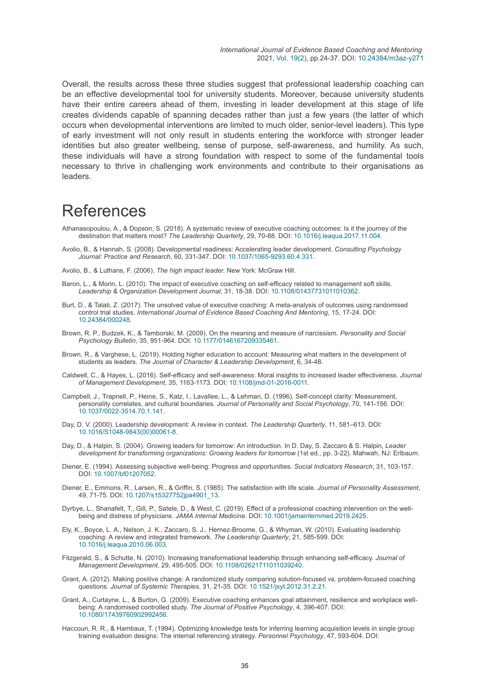Overall, the results across these three studies suggest that professional leadership coaching can be an effective developmental tool for university students. Moreover, because university students have their entire careers ahead of them, investing in leader development at this stage of life creates dividends capable of spanning decades rather than just a few years (the latter of which occurs when developmental interventions are limited to much older, senior-level leaders). This type of early investment will not only result in students entering the workforce with stronger leader identities but also greater wellbeing, sense of purpose, self-awareness, and humility. As such, these individuals will have a strong foundation with respect to some of the fundamental tools necessary to thrive in challenging work environments and contribute to their organisations as leaders.

## References

- Athanasopoulou, A., & Dopson, S. (2018). A systematic review of executive coaching outcomes: Is it the journey of the destination that matters most? *The Leadership Quarterly*, 29, 70-88. DOI: [10.1016/j.leaqua.2017.11.004](https://doi.org/10.1016/j.leaqua.2017.11.004).
- Avolio, B., & Hannah, S. (2008). Developmental readiness: Accelerating leader development. *Consulting Psychology Journal: Practice and Research*, 60, 331-347. DOI: [10.1037/1065-9293.60.4.331](https://doi.org/10.1037/1065-9293.60.4.331).
- Avolio, B., & Luthans, F. (2006). *The high impact leader.* New York: McGraw Hill.
- Baron, L., & Morin, L. (2010). The impact of executive coaching on self-efficacy related to management soft skills. *Leadership & Organization Development Journal*, 31, 18-38. DOI: [10.1108/01437731011010362.](https://doi.org/10.1108/01437731011010362)
- Burt, D., & Talati, Z. (2017). The unsolved value of executive coaching: A meta-analysis of outcomes using randomised control trial studies. *International Journal of Evidence Based Coaching And Mentoring*, 15, 17-24. DOI: [10.24384/000248.](https://doi.org/10.24384/000248)
- Brown, R. P., Budzek, K., & Tamborski, M. (2009). On the meaning and measure of narcissism. *Personality and Social Psychology Bulletin*, 35, 951-964. DOI: [10.1177/0146167209335461.](https://doi.org/10.1177/0146167209335461)
- Brown, R., & Varghese, L. (2019). Holding higher education to account: Measuring what matters in the development of students as leaders. *The Journal of Character & Leadership Development*, 6, 34-48.
- Caldwell, C., & Hayes, L. (2016). Self-efficacy and self-awareness: Moral insights to increased leader effectiveness. *Journal of Management Development*, 35, 1163-1173. DOI: [10.1108/jmd-01-2016-0011.](https://doi.org/10.1108/jmd-01-2016-0011)
- Campbell, J., Trapnell, P., Heine, S., Katz, I., Lavallee, L., & Lehman, D. (1996). Self-concept clarity: Measurement, personality correlates, and cultural boundaries. *Journal of Personality and Social Psychology*, 70, 141-156. DOI: [10.1037/0022-3514.70.1.141](https://doi.org/10.1037/0022-3514.70.1.141).
- Day, D. V. (2000). Leadership development: A review in context. *The Leadership Quarterly*, 11, 581–613. DOI: [10.1016/S1048-9843\(00\)00061-8.](https://doi.org/10.1016/S1048-9843(00)00061-8)
- Day, D., & Halpin, S. (2004). Growing leaders for tomorrow: An introduction. In D. Day, S. Zaccaro & S. Halpin, *Leader development for transforming organizations: Growing leaders for tomorrow* (1st ed., pp. 3-22). Mahwah, NJ: Erlbaum.
- Diener, E. (1994). Assessing subjective well-being: Progress and opportunities. *Social Indicators Research*, 31, 103-157. DOI: [10.1007/bf01207052](https://doi.org/10.1007/bf01207052).
- Diener, E., Emmons, R., Larsen, R., & Griffin, S. (1985). The satisfaction with life scale. *Journal of Personality Assessment*, 49, 71-75. DOI: [10.1207/s15327752jpa4901\\_13.](https://doi.org/10.1207/s15327752jpa4901_13)
- Dyrbye, L., Shanafelt, T., Gill, P., Satele, D., & West, C. (2019). Effect of a professional coaching intervention on the wellbeing and distress of physicians. *JAMA Internal Medicine*. DOI: [10.1001/jamainternmed.2019.2425](https://doi.org/10.1001/jamainternmed.2019.2425).
- Ely, K., Boyce, L. A., Nelson, J. K., Zaccaro, S. J., Hernez-Broome, G., & Whyman, W. (2010). Evaluating leadership coaching: A review and integrated framework. *The Leadership Quarterly*, 21, 585-599. DOI: [10.1016/j.leaqua.2010.06.003](https://doi.org/10.1016/j.leaqua.2010.06.003).
- Fitzgerald, S., & Schutte, N. (2010). Increasing transformational leadership through enhancing self-efficacy. *Journal of Management Development*, 29, 495-505. DOI: [10.1108/02621711011039240.](https://doi.org/10.1108/02621711011039240)
- Grant, A. (2012). Making positive change: A randomized study comparing solution-focused vs. problem-focused coaching questions. *Journal of Systemic Therapies*, 31, 21-35. DOI: [10.1521/jsyt.2012.31.2.21](https://doi.org/10.1521/jsyt.2012.31.2.21).
- Grant, A., Curtayne, L., & Burton, G. (2009). Executive coaching enhances goal attainment, resilience and workplace wellbeing: A randomised controlled study. *The Journal of Positive Psychology*, 4, 396-407. DOI: [10.1080/17439760902992456](https://doi.org/10.1080/17439760902992456).
- Haccoun, R. R., & Hamtiaux, T. (1994). Optimizing knowledge tests for inferring learning acquisition levels in single group training evaluation designs: The internal referencing strategy. *Personnel Psychology*, 47, 593-604. DOI: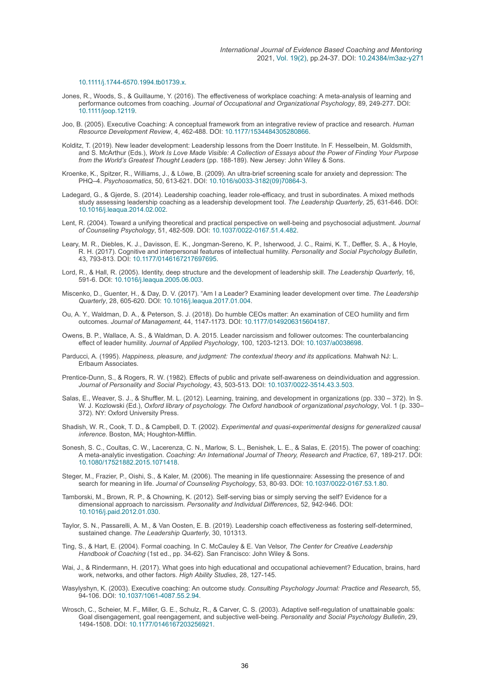#### [10.1111/j.1744-6570.1994.tb01739.x](https://doi.org/10.1111/j.1744-6570.1994.tb01739.x).

- Jones, R., Woods, S., & Guillaume, Y. (2016). The effectiveness of workplace coaching: A meta-analysis of learning and performance outcomes from coaching. *Journal of Occupational and Organizational Psychology*, 89, 249-277. DOI: [10.1111/joop.12119.](https://doi.org/10.1111/joop.12119)
- Joo, B. (2005). Executive Coaching: A conceptual framework from an integrative review of practice and research. *Human Resource Development Review*, 4, 462-488. DOI: [10.1177/1534484305280866](https://doi.org/10.1177/1534484305280866).
- Kolditz, T. (2019). New leader development: Leadership lessons from the Doerr Institute. In F. Hesselbein, M. Goldsmith, and S. McArthur (Eds.), *Work Is Love Made Visible: A Collection of Essays about the Power of Finding Your Purpose from the World's Greatest Thought Leaders* (pp. 188-189). New Jersey: John Wiley & Sons.
- Kroenke, K., Spitzer, R., Williams, J., & Löwe, B. (2009). An ultra-brief screening scale for anxiety and depression: The PHQ–4. *Psychosomatics*, 50, 613-621. DOI: [10.1016/s0033-3182\(09\)70864-3](https://doi.org/10.1016/s0033-3182(09)70864-3).
- Ladegard, G., & Gjerde, S. (2014). Leadership coaching, leader role-efficacy, and trust in subordinates. A mixed methods study assessing leadership coaching as a leadership development tool. *The Leadership Quarterly*, 25, 631-646. DOI: [10.1016/j.leaqua.2014.02.002](https://doi.org/10.1016/j.leaqua.2014.02.002).
- Lent, R. (2004). Toward a unifying theoretical and practical perspective on well-being and psychosocial adjustment. *Journal of Counseling Psychology*, 51, 482-509. DOI: [10.1037/0022-0167.51.4.482](https://doi.org/10.1037/0022-0167.51.4.482).
- Leary, M. R., Diebles, K. J., Davisson, E. K., Jongman-Sereno, K. P., Isherwood, J. C., Raimi, K. T., Deffler, S. A., & Hoyle, R. H. (2017). Cognitive and interpersonal features of intellectual humility. *Personality and Social Psychology Bulletin*, 43, 793-813. DOI: [10.1177/0146167217697695](https://doi.org/10.1177/0146167217697695).
- Lord, R., & Hall, R. (2005). Identity, deep structure and the development of leadership skill. *The Leadership Quarterly*, 16, 591-6. DOI: [10.1016/j.leaqua.2005.06.003.](https://doi.org/10.1016/j.leaqua.2005.06.003)
- Miscenko, D., Guenter, H., & Day, D. V. (2017). "Am I a Leader? Examining leader development over time. *The Leadership Quarterly*, 28, 605-620. DOI: [10.1016/j.leaqua.2017.01.004](https://doi.org/10.1016/j.leaqua.2017.01.004).
- Ou, A. Y., Waldman, D. A., & Peterson, S. J. (2018). Do humble CEOs matter: An examination of CEO humility and firm outcomes. *Journal of Management*, 44, 1147-1173. DOI: [10.1177/0149206315604187](https://doi.org/10.1177/0149206315604187).
- Owens, B. P., Wallace, A. S., & Waldman, D. A. 2015. Leader narcissism and follower outcomes: The counterbalancing effect of leader humility. *Journal of Applied Psychology*, 100, 1203-1213. DOI: [10.1037/a0038698.](https://doi.org/10.1037/a0038698)
- Parducci, A. (1995). *Happiness, pleasure, and judgment: The contextual theory and its applications.* Mahwah NJ: L. Erlbaum Associates.
- Prentice-Dunn, S., & Rogers, R. W. (1982). Effects of public and private self-awareness on deindividuation and aggression. *Journal of Personality and Social Psychology*, 43, 503-513. DOI: [10.1037/0022-3514.43.3.503](https://doi.org/10.1037/0022-3514.43.3.503).
- Salas, E., Weaver, S. J., & Shuffler, M. L. (2012). Learning, training, and development in organizations (pp. 330 372). In S. W. J. Kozlowski (Ed.), *Oxford library of psychology. The Oxford handbook of organizational psychology*, Vol. 1 (p. 330– 372). NY: Oxford University Press.
- Shadish, W. R., Cook, T. D., & Campbell, D. T. (2002). *Experimental and quasi-experimental designs for generalized causal inference.* Boston, MA; Houghton-Mifflin.
- Sonesh, S. C., Coultas, C. W., Lacerenza, C. N., Marlow, S. L., Benishek, L. E., & Salas, E. (2015). The power of coaching: A meta-analytic investigation. *Coaching: An International Journal of Theory, Research and Practice,* 67, 189-217. DOI: [10.1080/17521882.2015.1071418](https://doi.org/10.1080/17521882.2015.1071418).
- Steger, M., Frazier, P., Oishi, S., & Kaler, M. (2006). The meaning in life questionnaire: Assessing the presence of and search for meaning in life. *Journal of Counseling Psychology*, 53, 80-93. DOI: [10.1037/0022-0167.53.1.80.](https://doi.org/10.1037/0022-0167.53.1.80)
- Tamborski, M., Brown, R. P., & Chowning, K. (2012). Self-serving bias or simply serving the self? Evidence for a dimensional approach to narcissism. *Personality and Individual Differences*, 52, 942-946. DOI: [10.1016/j.paid.2012.01.030](https://doi.org/10.1016/j.paid.2012.01.030).
- Taylor, S. N., Passarelli, A. M., & Van Oosten, E. B. (2019). Leadership coach effectiveness as fostering self-determined, sustained change. *The Leadership Quarterly*, 30, 101313.
- Ting, S., & Hart, E. (2004). Formal coaching. In C. McCauley & E. Van Velsor, *The Center for Creative Leadership Handbook of Coaching* (1st ed., pp. 34-62). San Francisco: John Wiley & Sons.
- Wai, J., & Rindermann, H. (2017). What goes into high educational and occupational achievement? Education, brains, hard work, networks, and other factors. *High Ability Studies*, 28, 127-145.
- Wasylyshyn, K. (2003). Executive coaching: An outcome study. *Consulting Psychology Journal: Practice and Research*, 55, 94-106. DOI: [10.1037/1061-4087.55.2.94.](https://doi.org/10.1037/1061-4087.55.2.94)
- Wrosch, C., Scheier, M. F., Miller, G. E., Schulz, R., & Carver, C. S. (2003). Adaptive self-regulation of unattainable goals: Goal disengagement, goal reengagement, and subjective well-being. *Personality and Social Psychology Bulletin*, 29, 1494-1508. DOI: [10.1177/0146167203256921](https://doi.org/10.1177/0146167203256921).